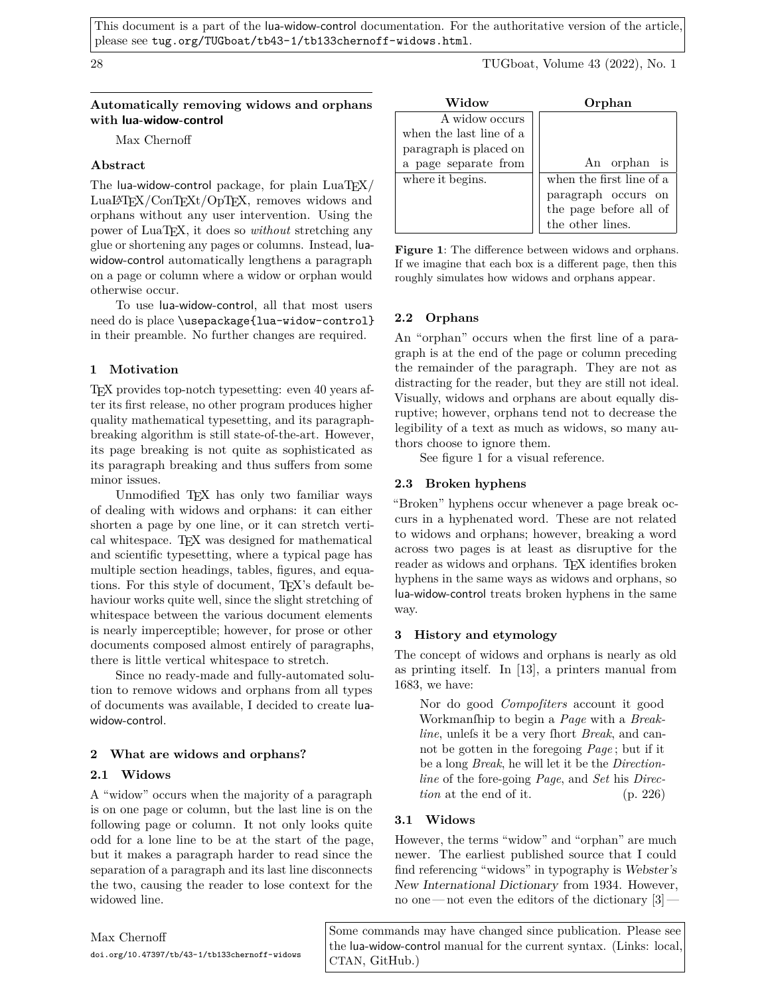This document is a part of the lua-widow-control documentation. For the authoritative version of the article, please see [tug.org/TUGboat/tb43-1/tb133chernoff-widows.html](https://tug.org/TUGboat/tb43-1/tb133chernoff-widows.html).

28 TUGboat, Volume 43 (2022), No. 1

## **Automatically removing widows and orphans with lua-widow-control**

Max Chernoff

# **Abstract**

The lua-widow-control package, for plain  $LuaTFX/$ LuaLATEX/ConTEXt/OpTEX, removes widows and orphans without any user intervention. Using the power of LuaTEX, it does so *without* stretching any glue or shortening any pages or columns. Instead, luawidow-control automatically lengthens a paragraph on a page or column where a widow or orphan would otherwise occur.

To use lua-widow-control, all that most users need do is place \usepackage{lua-widow-control} in their preamble. No further changes are required.

# **1 Motivation**

TEX provides top-notch typesetting: even 40 years after its first release, no other program produces higher quality mathematical typesetting, and its paragraphbreaking algorithm is still state-of-the-art. However, its page breaking is not quite as sophisticated as its paragraph breaking and thus suffers from some minor issues.

Unmodified TEX has only two familiar ways of dealing with widows and orphans: it can either shorten a page by one line, or it can stretch vertical whitespace. TEX was designed for mathematical and scientific typesetting, where a typical page has multiple section headings, tables, figures, and equations. For this style of document, TEX's default behaviour works quite well, since the slight stretching of whitespace between the various document elements is nearly imperceptible; however, for prose or other documents composed almost entirely of paragraphs, there is little vertical whitespace to stretch.

Since no ready-made and fully-automated solution to remove widows and orphans from all types of documents was available, I decided to create luawidow-control.

# **2 What are widows and orphans?**

# **2.1 Widows**

A "widow" occurs when the majority of a paragraph is on one page or column, but the last line is on the following page or column. It not only looks quite odd for a lone line to be at the start of the page, but it makes a paragraph harder to read since the separation of a paragraph and its last line disconnects the two, causing the reader to lose context for the widowed line.

| Widow                   | Orphan                   |
|-------------------------|--------------------------|
| A widow occurs          |                          |
| when the last line of a |                          |
| paragraph is placed on  |                          |
| a page separate from    | An orphan is             |
| where it begins.        | when the first line of a |
|                         | paragraph occurs on      |
|                         | the page before all of   |
|                         | the other lines.         |

<span id="page-0-0"></span>**Figure 1**: The difference between widows and orphans. If we imagine that each box is a different page, then this roughly simulates how widows and orphans appear.

# **2.2 Orphans**

An "orphan" occurs when the first line of a paragraph is at the end of the page or column preceding the remainder of the paragraph. They are not as distracting for the reader, but they are still not ideal. Visually, widows and orphans are about equally disruptive; however, orphans tend not to decrease the legibility of a text as much as widows, so many authors choose to ignore them.

See figure [1](#page-0-0) for a visual reference.

# **2.3 Broken hyphens**

"Broken" hyphens occur whenever a page break occurs in a hyphenated word. These are not related to widows and orphans; however, breaking a word across two pages is at least as disruptive for the reader as widows and orphans. T<sub>EX</sub> identifies broken hyphens in the same ways as widows and orphans, so lua-widow-control treats broken hyphens in the same way.

## **3 History and etymology**

The concept of widows and orphans is nearly as old as printing itself. In [\[13\]](#page-11-0), a printers manual from 1683, we have:

Nor do good *Compoſiters* account it good Workmanſhip to begin a *Page* with a *Breakline*, unlefs it be a very fhort *Break*, and cannot be gotten in the foregoing *Page* ; but if it be a long *Break*, he will let it be the *Directionline* of the fore-going *Page*, and *Set* his *Direction* at the end of it. (p. 226)

# **3.1 Widows**

However, the terms "widow" and "orphan" are much newer. The earliest published source that I could find referencing "widows" in typography is Webster's New International Dictionary from 1934. However, no one — not even the editors of the dictionary  $[3]$  —

Some commands may have changed since publication. Please see the lua-widow-control manual for the current syntax. (Links: local, [CTAN](http://mirrors.ctan.org/macros/luatex/generic/lua-widow-control/lua-widow-control.pdf), [GitHub.](https://github.com/gucci-on-fleek/lua-widow-control/releases/latest/download/lua-widow-control.pdf))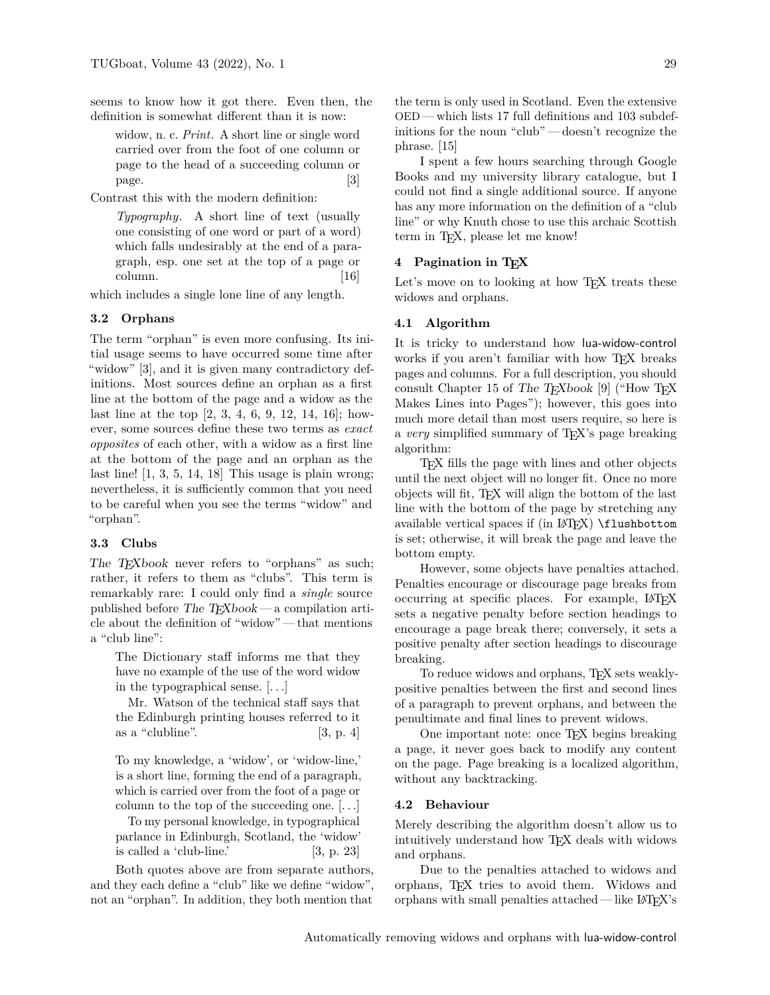seems to know how it got there. Even then, the definition is somewhat different than it is now:

widow, n. c. *Print*. A short line or single word carried over from the foot of one column or page to the head of a succeeding column or page. [\[3\]](#page-11-1)

Contrast this with the modern definition:

*Typography*. A short line of text (usually one consisting of one word or part of a word) which falls undesirably at the end of a paragraph, esp. one set at the top of a page or column. [\[16\]](#page-11-2)

which includes a single lone line of any length.

## **3.2 Orphans**

The term "orphan" is even more confusing. Its initial usage seems to have occurred some time after "widow" [\[3\]](#page-11-1), and it is given many contradictory definitions. Most sources define an orphan as a first line at the bottom of the page and a widow as the last line at the top [\[2,](#page-11-3) [3,](#page-11-1) [4,](#page-11-4) [6,](#page-11-5) [9,](#page-11-6) [12,](#page-11-7) [14,](#page-11-8) [16\]](#page-11-2); however, some sources define these two terms as *exact opposites* of each other, with a widow as a first line at the bottom of the page and an orphan as the last line!  $[1, 3, 5, 14, 18]$  $[1, 3, 5, 14, 18]$  $[1, 3, 5, 14, 18]$  $[1, 3, 5, 14, 18]$  $[1, 3, 5, 14, 18]$  $[1, 3, 5, 14, 18]$  $[1, 3, 5, 14, 18]$  $[1, 3, 5, 14, 18]$  This usage is plain wrong; nevertheless, it is sufficiently common that you need to be careful when you see the terms "widow" and "orphan".

## **3.3 Clubs**

The T<sub>E</sub>Xbook never refers to "orphans" as such; rather, it refers to them as "clubs". This term is remarkably rare: I could only find a *single* source published before The TEXbook — a compilation article about the definition of "widow" — that mentions a "club line":

The Dictionary staff informs me that they have no example of the use of the word widow in the typographical sense. [*. . .*]

Mr. Watson of the technical staff says that the Edinburgh printing houses referred to it as a "clubline".  $[3, p. 4]$ 

To my knowledge, a 'widow', or 'widow-line,' is a short line, forming the end of a paragraph, which is carried over from the foot of a page or column to the top of the succeeding one. [*. . .*]

To my personal knowledge, in typographical parlance in Edinburgh, Scotland, the 'widow' is called a 'club-line.'  $[3, p. 23]$ 

Both quotes above are from separate authors, and they each define a "club" like we define "widow", not an "orphan". In addition, they both mention that the term is only used in Scotland. Even the extensive OED — which lists 17 full definitions and 103 subdefinitions for the noun "club" — doesn't recognize the phrase. [\[15\]](#page-11-12)

I spent a few hours searching through Google Books and my university library catalogue, but I could not find a single additional source. If anyone has any more information on the definition of a "club line" or why Knuth chose to use this archaic Scottish term in T<sub>E</sub>X, please let me know!

# **4 Pagination in TEX**

Let's move on to looking at how TEX treats these widows and orphans.

#### **4.1 Algorithm**

It is tricky to understand how lua-widow-control works if you aren't familiar with how TEX breaks pages and columns. For a full description, you should consult Chapter 15 of The T<sub>E</sub>Xbook [\[9\]](#page-11-6) ("How T<sub>E</sub>X Makes Lines into Pages"); however, this goes into much more detail than most users require, so here is a *very* simplified summary of TEX's page breaking algorithm:

TEX fills the page with lines and other objects until the next object will no longer fit. Once no more objects will fit, TEX will align the bottom of the last line with the bottom of the page by stretching any available vertical spaces if  $(in$   $\langle$   $\langle$   $\rangle$   $\langle$   $\rangle$   $(1$   $\langle$   $\rangle$   $\langle$   $\rangle$   $\langle$   $\rangle$   $\langle$   $\rangle$   $\langle$   $\rangle$   $\langle$   $\rangle$   $\langle$   $\rangle$   $\langle$   $\rangle$   $\langle$   $\rangle$   $\langle$   $\rangle$   $\langle$   $\rangle$   $\langle$   $\rangle$   $\langle$   $\rangle$   $\langle$   $\rangle$   $\langle$   $\rangle$   $\langle$   $\rangle$ is set; otherwise, it will break the page and leave the bottom empty.

However, some objects have penalties attached. Penalties encourage or discourage page breaks from occurring at specific places. For example, LATEX sets a negative penalty before section headings to encourage a page break there; conversely, it sets a positive penalty after section headings to discourage breaking.

To reduce widows and orphans, TEX sets weaklypositive penalties between the first and second lines of a paragraph to prevent orphans, and between the penultimate and final lines to prevent widows.

One important note: once TEX begins breaking a page, it never goes back to modify any content on the page. Page breaking is a localized algorithm, without any backtracking.

#### **4.2 Behaviour**

Merely describing the algorithm doesn't allow us to intuitively understand how TEX deals with widows and orphans.

Due to the penalties attached to widows and orphans, TEX tries to avoid them. Widows and orphans with small penalties attached — like  $\text{LFT}X$ 's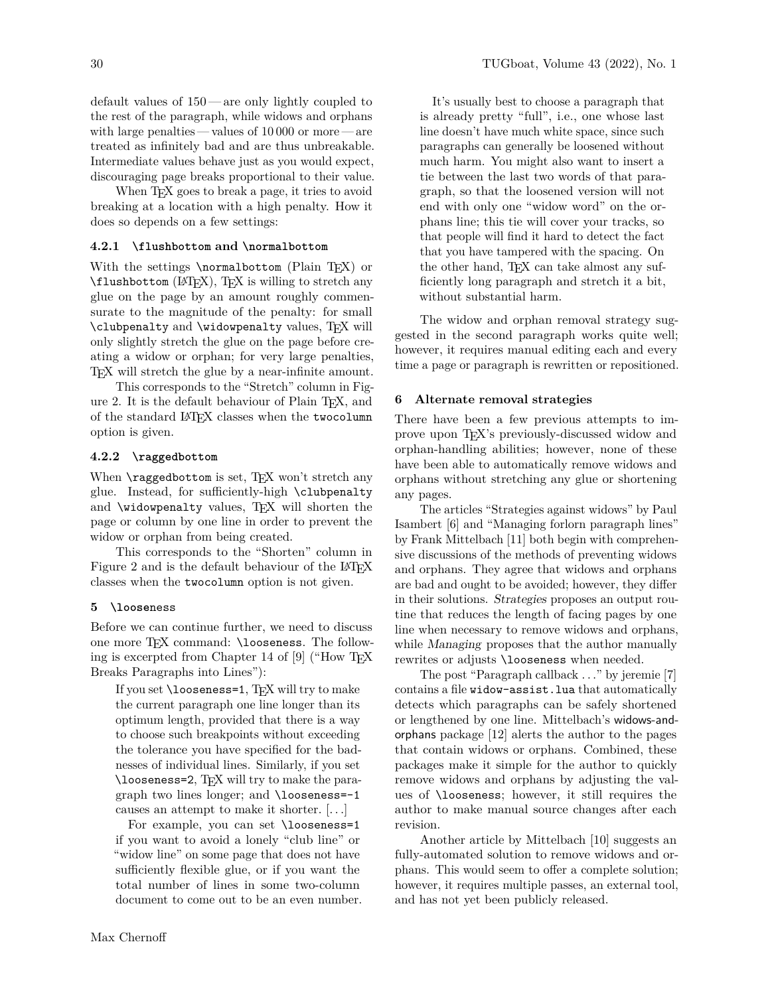default values of 150— are only lightly coupled to the rest of the paragraph, while widows and orphans with large penalties — values of 10 000 or more — are treated as infinitely bad and are thus unbreakable. Intermediate values behave just as you would expect, discouraging page breaks proportional to their value.

When T<sub>EX</sub> goes to break a page, it tries to avoid breaking at a location with a high penalty. How it does so depends on a few settings:

# **4.2.1 \flushbottom and \normalbottom**

With the settings \normalbottom (Plain T<sub>EX</sub>) or \flushbottom (LATEX), TEX is willing to stretch any glue on the page by an amount roughly commensurate to the magnitude of the penalty: for small \clubpenalty and \widowpenalty values, TEX will only slightly stretch the glue on the page before creating a widow or orphan; for very large penalties, TEX will stretch the glue by a near-infinite amount.

This corresponds to the "Stretch" column in Figure [2.](#page-3-0) It is the default behaviour of Plain TEX, and of the standard LATEX classes when the twocolumn option is given.

#### **4.2.2 \raggedbottom**

When  $\text{vagger}$  obset, TEX won't stretch any glue. Instead, for sufficiently-high \clubpenalty and \widowpenalty values, T<sub>EX</sub> will shorten the page or column by one line in order to prevent the widow or orphan from being created.

This corresponds to the "Shorten" column in Figure [2](#page-3-0) and is the default behaviour of the LATEX classes when the twocolumn option is not given.

## **5 \loose**ness

Before we can continue further, we need to discuss one more TEX command: \looseness. The following is excerpted from Chapter 14 of [\[9\]](#page-11-6) ("How TEX Breaks Paragraphs into Lines"):

If you set **\looseness=1**, TEX will try to make the current paragraph one line longer than its optimum length, provided that there is a way to choose such breakpoints without exceeding the tolerance you have specified for the badnesses of individual lines. Similarly, if you set \looseness=2, TEX will try to make the paragraph two lines longer; and \looseness=-1 causes an attempt to make it shorter. [*. . .*]

For example, you can set \looseness=1 if you want to avoid a lonely "club line" or "widow line" on some page that does not have sufficiently flexible glue, or if you want the total number of lines in some two-column document to come out to be an even number.

It's usually best to choose a paragraph that is already pretty "full", i.e., one whose last line doesn't have much white space, since such paragraphs can generally be loosened without much harm. You might also want to insert a tie between the last two words of that paragraph, so that the loosened version will not end with only one "widow word" on the orphans line; this tie will cover your tracks, so that people will find it hard to detect the fact that you have tampered with the spacing. On the other hand, TEX can take almost any sufficiently long paragraph and stretch it a bit, without substantial harm.

The widow and orphan removal strategy suggested in the second paragraph works quite well; however, it requires manual editing each and every time a page or paragraph is rewritten or repositioned.

## **6 Alternate removal strategies**

There have been a few previous attempts to improve upon TEX's previously-discussed widow and orphan-handling abilities; however, none of these have been able to automatically remove widows and orphans without stretching any glue or shortening any pages.

The articles "Strategies against widows" by Paul Isambert [\[6\]](#page-11-5) and "Managing forlorn paragraph lines" by Frank Mittelbach [\[11\]](#page-11-13) both begin with comprehensive discussions of the methods of preventing widows and orphans. They agree that widows and orphans are bad and ought to be avoided; however, they differ in their solutions. Strategies proposes an output routine that reduces the length of facing pages by one line when necessary to remove widows and orphans, while *Managing* proposes that the author manually rewrites or adjusts \looseness when needed.

The post "Paragraph callback *. . .*" by jeremie [\[7\]](#page-11-14) contains a file widow-assist.lua that automatically detects which paragraphs can be safely shortened or lengthened by one line. Mittelbach's widows-andorphans package [\[12\]](#page-11-7) alerts the author to the pages that contain widows or orphans. Combined, these packages make it simple for the author to quickly remove widows and orphans by adjusting the values of \looseness; however, it still requires the author to make manual source changes after each revision.

Another article by Mittelbach [\[10\]](#page-11-15) suggests an fully-automated solution to remove widows and orphans. This would seem to offer a complete solution; however, it requires multiple passes, an external tool, and has not yet been publicly released.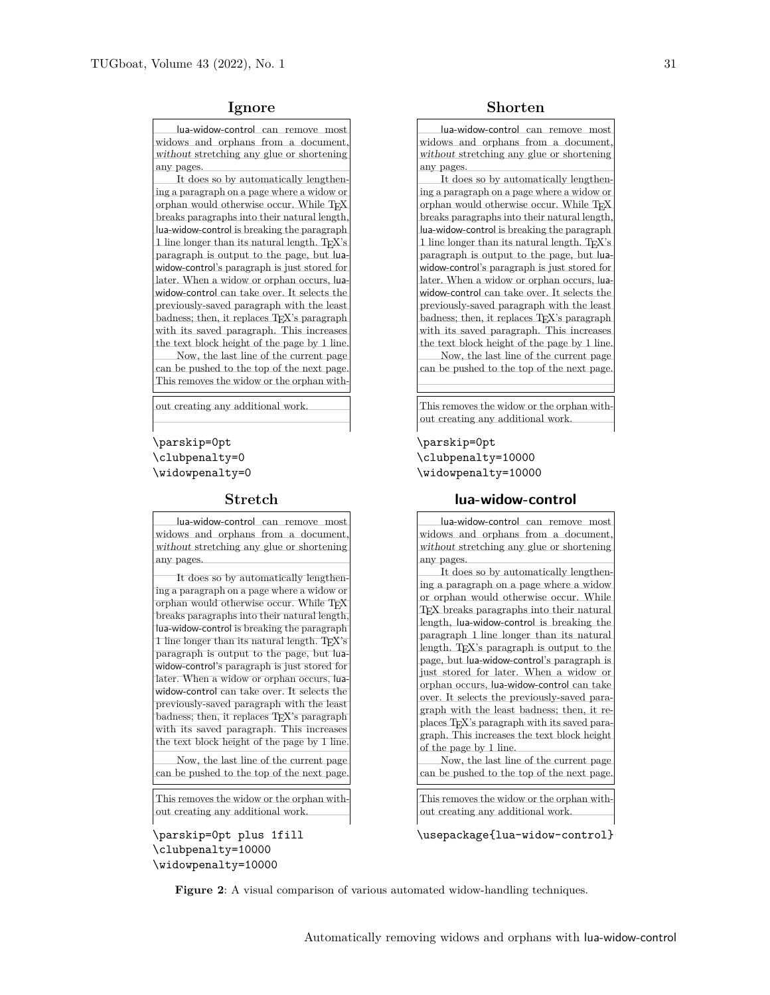lua-widow-control can remove most widows and orphans from a document, without stretching any glue or shortening any pages.

It does so by automatically lengthening a paragraph on a page where a widow or orphan would otherwise occur. While T<sub>E</sub>X breaks paragraphs into their natural length, lua-widow-control is breaking the paragraph 1 line longer than its natural length. T<sub>E</sub>X's paragraph is output to the page, but luawidow-control's paragraph is just stored for later. When a widow or orphan occurs, luawidow-control can take over. It selects the previously-saved paragraph with the least badness; then, it replaces T<sub>E</sub>X's paragraph with its saved paragraph. This increases the text block height of the page by 1 line. Now, the last line of the current page can be pushed to the top of the next page. This removes the widow or the orphan with-

\parskip=0pt \clubpenalty=0 \widowpenalty=0

lua-widow-control can remove most widows and orphans from a document, without stretching any glue or shortening any pages.

It does so by automatically lengthening a paragraph on a page where a widow or orphan would otherwise occur. While T<sub>E</sub>X breaks paragraphs into their natural length, lua-widow-control is breaking the paragraph 1 line longer than its natural length. T<sub>E</sub>X's paragraph is output to the page, but luawidow-control's paragraph is just stored for later. When a widow or orphan occurs, luawidow-control can take over. It selects the previously-saved paragraph with the least badness; then, it replaces T<sub>E</sub>X's paragraph with its saved paragraph. This increases the text block height of the page by 1 line.

Now, the last line of the current page can be pushed to the top of the next page.

This removes the widow or the orphan without creating any additional work.

\parskip=0pt plus 1fill \clubpenalty=10000 \widowpenalty=10000

**Ignore Shorten**

lua-widow-control can remove most widows and orphans from a document, without stretching any glue or shortening any pages.

It does so by automatically lengthening a paragraph on a page where a widow or orphan would otherwise occur. While TEX breaks paragraphs into their natural length, lua-widow-control is breaking the paragraph 1 line longer than its natural length. T<sub>E</sub>X's paragraph is output to the page, but luawidow-control's paragraph is just stored for later. When a widow or orphan occurs, luawidow-control can take over. It selects the previously-saved paragraph with the least badness; then, it replaces T<sub>E</sub>X's paragraph with its saved paragraph. This increases the text block height of the page by 1 line. Now, the last line of the current page can be pushed to the top of the next page.

out creating any additional work. This removes the widow or the orphan without creating any additional work.

> \parskip=0pt \clubpenalty=10000 \widowpenalty=10000

#### **Stretch lua-widow-control**

lua-widow-control can remove most widows and orphans from a document, without stretching any glue or shortening any pages. It does so by automatically lengthening a paragraph on a page where a widow or orphan would otherwise occur. While TEX breaks paragraphs into their natural length, lua-widow-control is breaking the paragraph 1 line longer than its natural length. TEX's paragraph is output to the page, but lua-widow-control's paragraph is just stored for later. When a widow or orphan occurs, lua-widow-control can take over. It selects the previously-saved paragraph with the least badness; then, it replaces TEX's paragraph with its saved para-

graph. This increases the text block height of the page by 1 line. Now, the last line of the current page can be pushed to the top of the next page.

This removes the widow or the orphan without creating any additional work.

\usepackage{lua-widow-control}

<span id="page-3-0"></span>**Figure 2**: A visual comparison of various automated widow-handling techniques.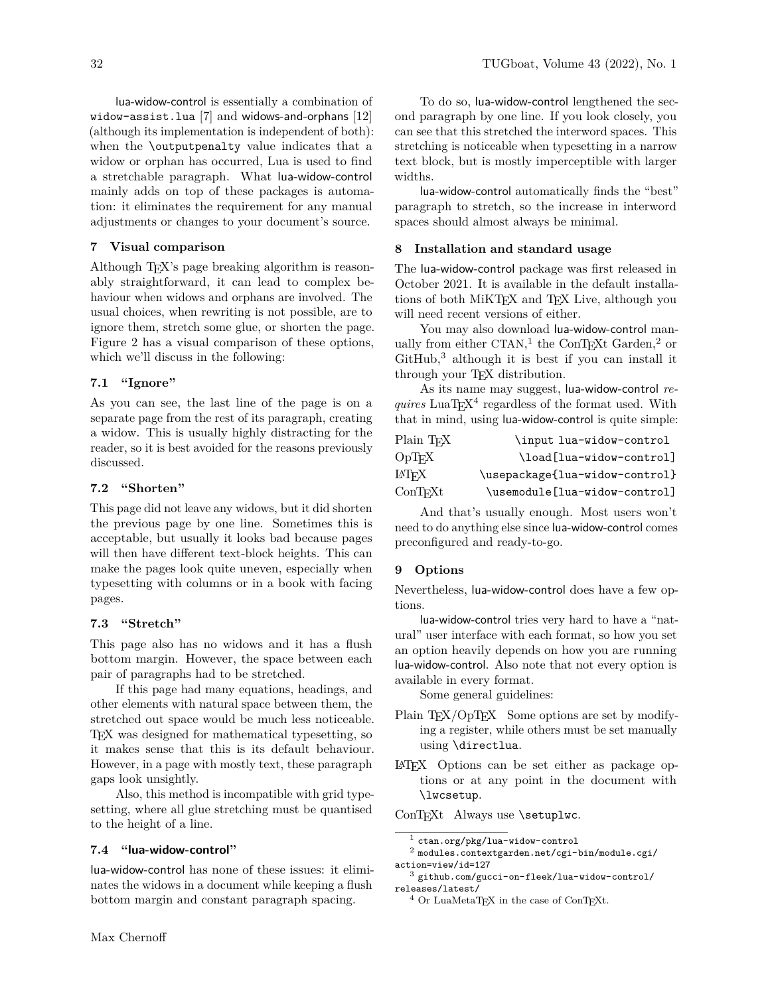lua-widow-control is essentially a combination of widow-assist.lua [\[7\]](#page-11-14) and widows-and-orphans [\[12\]](#page-11-7) (although its implementation is independent of both): when the \outputpenalty value indicates that a widow or orphan has occurred, Lua is used to find a stretchable paragraph. What lua-widow-control mainly adds on top of these packages is automation: it eliminates the requirement for any manual adjustments or changes to your document's source.

## **7 Visual comparison**

Although TEX's page breaking algorithm is reasonably straightforward, it can lead to complex behaviour when widows and orphans are involved. The usual choices, when rewriting is not possible, are to ignore them, stretch some glue, or shorten the page. Figure [2](#page-3-0) has a visual comparison of these options, which we'll discuss in the following:

# **7.1 "Ignore"**

As you can see, the last line of the page is on a separate page from the rest of its paragraph, creating a widow. This is usually highly distracting for the reader, so it is best avoided for the reasons previously discussed.

# **7.2 "Shorten"**

This page did not leave any widows, but it did shorten the previous page by one line. Sometimes this is acceptable, but usually it looks bad because pages will then have different text-block heights. This can make the pages look quite uneven, especially when typesetting with columns or in a book with facing pages.

#### **7.3 "Stretch"**

This page also has no widows and it has a flush bottom margin. However, the space between each pair of paragraphs had to be stretched.

If this page had many equations, headings, and other elements with natural space between them, the stretched out space would be much less noticeable. TEX was designed for mathematical typesetting, so it makes sense that this is its default behaviour. However, in a page with mostly text, these paragraph gaps look unsightly.

Also, this method is incompatible with grid typesetting, where all glue stretching must be quantised to the height of a line.

## **7.4 "lua-widow-control"**

lua-widow-control has none of these issues: it eliminates the widows in a document while keeping a flush bottom margin and constant paragraph spacing.

To do so, lua-widow-control lengthened the second paragraph by one line. If you look closely, you can see that this stretched the interword spaces. This stretching is noticeable when typesetting in a narrow text block, but is mostly imperceptible with larger widths.

lua-widow-control automatically finds the "best" paragraph to stretch, so the increase in interword spaces should almost always be minimal.

# **8 Installation and standard usage**

The lua-widow-control package was first released in October 2021. It is available in the default installations of both MiKTFX and TFX Live, although you will need recent versions of either.

You may also download lua-widow-control manually from either  $\mathsf{CTAN}^1$  $\mathsf{CTAN}^1$  $\mathsf{CTAN}^1$  $\mathsf{CTAN}^1$  the  $\mathsf{ConT}\text{E}\mathsf{X}\text{t}$  Garden,<sup>[2](#page-4-1)</sup> or  $G$ itHub, $3$  although it is best if you can install it through your T<sub>F</sub>X distribution.

As its name may suggest, lua-widow-control *re-* $\emph{quires}\$  LuaT<sub>E</sub>X<sup>[4](#page-4-3)</sup> regardless of the format used. With that in mind, using lua-widow-control is quite simple:

| Plain TFX        | \input lua-widow-control       |
|------------------|--------------------------------|
| $\mathrm{OpTrX}$ | \load[lua-widow-control]       |
| LATFX            | \usepackage{lua-widow-control} |
| $_{\rm ConTrXt}$ | \usemodule[lua-widow-control]  |

And that's usually enough. Most users won't need to do anything else since lua-widow-control comes preconfigured and ready-to-go.

# **9 Options**

Nevertheless, lua-widow-control does have a few options.

lua-widow-control tries very hard to have a "natural" user interface with each format, so how you set an option heavily depends on how you are running lua-widow-control. Also note that not every option is available in every format.

Some general guidelines:

- Plain T<sub>F</sub>X/OpT<sub>F</sub>X Some options are set by modifying a register, while others must be set manually using \directlua.
- LATEX Options can be set either as package options or at any point in the document with \lwcsetup.

ConTEXt Always use \setuplwc.

<span id="page-4-1"></span><span id="page-4-0"></span> $^{\rm 1}$ [ctan.org/pkg/lua-widow-control](https://ctan.org/pkg/lua-widow-control)

<sup>2</sup> [modules.contextgarden.net/cgi-bin/module.cgi/](https://modules.contextgarden.net/cgi-bin/module.cgi/action=view/id=127) [action=view/id=127](https://modules.contextgarden.net/cgi-bin/module.cgi/action=view/id=127)

<span id="page-4-2"></span><sup>3</sup> [github.com/gucci-on-fleek/lua-widow-control/](https://github.com/gucci-on-fleek/lua-widow-control/releases/latest/) [releases/latest/](https://github.com/gucci-on-fleek/lua-widow-control/releases/latest/)

<span id="page-4-3"></span> $4$  Or LuaMetaTEX in the case of ConTEXt.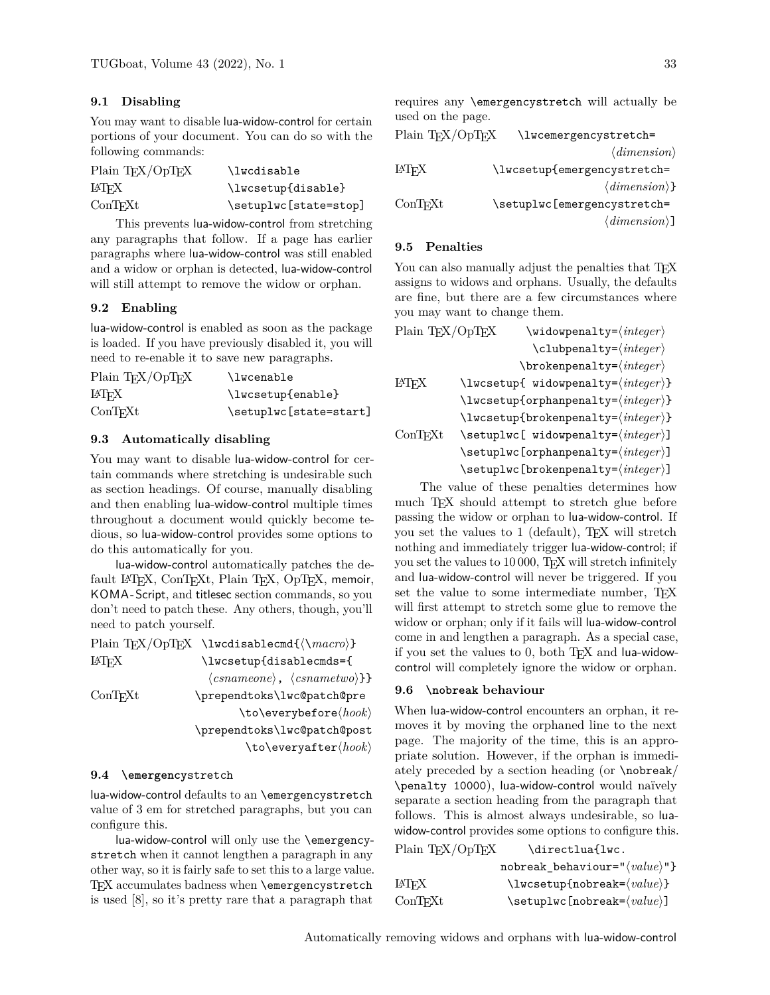# **9.1 Disabling**

You may want to disable lua-widow-control for certain portions of your document. You can do so with the following commands:

| Plain TEX/OpTEX | \lwcdisable           |
|-----------------|-----------------------|
| LATEX           | \lwcsetup{disable}    |
| ConTrXt         | \setuplwc[state=stop] |

This prevents lua-widow-control from stretching any paragraphs that follow. If a page has earlier paragraphs where lua-widow-control was still enabled and a widow or orphan is detected, lua-widow-control will still attempt to remove the widow or orphan.

## **9.2 Enabling**

lua-widow-control is enabled as soon as the package is loaded. If you have previously disabled it, you will need to re-enable it to save new paragraphs.

| Plain $T_F X / QpT_F X$ | \lwcenable             |
|-------------------------|------------------------|
| <b>IATEX</b>            | \lwcsetup{enable}      |
| ConTrXt                 | \setuplwc[state=start] |

#### **9.3 Automatically disabling**

You may want to disable lua-widow-control for certain commands where stretching is undesirable such as section headings. Of course, manually disabling and then enabling lua-widow-control multiple times throughout a document would quickly become tedious, so lua-widow-control provides some options to do this automatically for you.

lua-widow-control automatically patches the default LATEX, ConTEXt, Plain TEX, OpTEX, memoir, KOMA -Script, and titlesec section commands, so you don't need to patch these. Any others, though, you'll need to patch yourself.

|                  | Plain TFX/OpTFX \lwcdisablecmd{ $\langle \langle \rangle$ }                |
|------------------|----------------------------------------------------------------------------|
| LATFX            | \lwcsetup{disablecmds={                                                    |
|                  | $\langle \text{csnameone} \rangle$ , $\langle \text{csnametwo} \rangle$ }} |
| $_{\rm ConTrXt}$ | \prependtoks\lwc@patch@pre                                                 |
|                  | $\to \text{covers}$                                                        |
|                  | \prependtoks\lwc@patch@post                                                |
|                  | $\setminus$ to $\setminus$ everyafter $\langle \textit{hook} \rangle$      |

#### **9.4 \emergency**stretch

lua-widow-control defaults to an \emergencystretch value of 3 em for stretched paragraphs, but you can configure this.

lua-widow-control will only use the \emergencystretch when it cannot lengthen a paragraph in any other way, so it is fairly safe to set this to a large value. TFX accumulates badness when \emergencystretch is used [\[8\]](#page-11-16), so it's pretty rare that a paragraph that requires any \emergencystretch will actually be used on the page.

| Plain TFX/OpTFX    | \lwcemergencystretch=         |
|--------------------|-------------------------------|
|                    | $\langle dimension \rangle$   |
| LAT <sub>F</sub> X | \lwcsetup{emergencystretch=   |
|                    | $\langle dimension \rangle$ } |
| ConTrXt            | \setuplwc[emergencystretch=   |
|                    | $\langle dimension \rangle$ ] |

## **9.5 Penalties**

You can also manually adjust the penalties that TEX assigns to widows and orphans. Usually, the defaults are fine, but there are a few circumstances where you may want to change them.

| Plain TEX/OpTEX                                         | $\text{Widowpenalty} = \langle \text{integer} \rangle$                 |  |  |
|---------------------------------------------------------|------------------------------------------------------------------------|--|--|
|                                                         | $\clubpenalty = \langle integer \rangle$                               |  |  |
|                                                         | $\verb \brokenpenalty= integer\rangle$                                 |  |  |
| <b>FAIFX</b>                                            | $\text{Nusetup} \{ widowpenalty = \langle integer \rangle\}$           |  |  |
| $\text{Nusetup{orphanpenalty}=\langle integer \rangle}$ |                                                                        |  |  |
|                                                         | $\text{Nusetup{broken}penalty = \langle integer \rangle}$              |  |  |
| ConTrXt                                                 |                                                                        |  |  |
|                                                         | $\setminus$ setuplwc[orphanpenalty= $\langle \text{integer} \rangle$ ] |  |  |
|                                                         | $\setminus$ setuplwc[brokenpenalty= $\langle \text{integer} \rangle$ ] |  |  |

The value of these penalties determines how much TEX should attempt to stretch glue before passing the widow or orphan to lua-widow-control. If you set the values to 1 (default), TEX will stretch nothing and immediately trigger lua-widow-control; if you set the values to 10 000, TEX will stretch infinitely and lua-widow-control will never be triggered. If you set the value to some intermediate number, TEX will first attempt to stretch some glue to remove the widow or orphan; only if it fails will lua-widow-control come in and lengthen a paragraph. As a special case, if you set the values to 0, both TEX and lua-widowcontrol will completely ignore the widow or orphan.

## **9.6 \nobreak behaviour**

When lua-widow-control encounters an orphan, it removes it by moving the orphaned line to the next page. The majority of the time, this is an appropriate solution. However, if the orphan is immediately preceded by a section heading (or \nobreak/ \penalty 10000), lua-widow-control would naïvely separate a section heading from the paragraph that follows. This is almost always undesirable, so luawidow-control provides some options to configure this.  $P_{\text{bin}}$  TeV/OpTeV  $\lambda$ directlua<sup> $\ell$ </sup>

| Plain IFA/OpIFA | \directluailwc.                                         |
|-----------------|---------------------------------------------------------|
|                 | $nobreak_b$ behaviour=" $\langle value \rangle$ "}      |
| LATFX           | $\text{lwsetup}$ {nobreak= $\text{value}$ }             |
| ConTrXt         | $\setminus$ setuplwc[nobreak= $\langle value \rangle$ ] |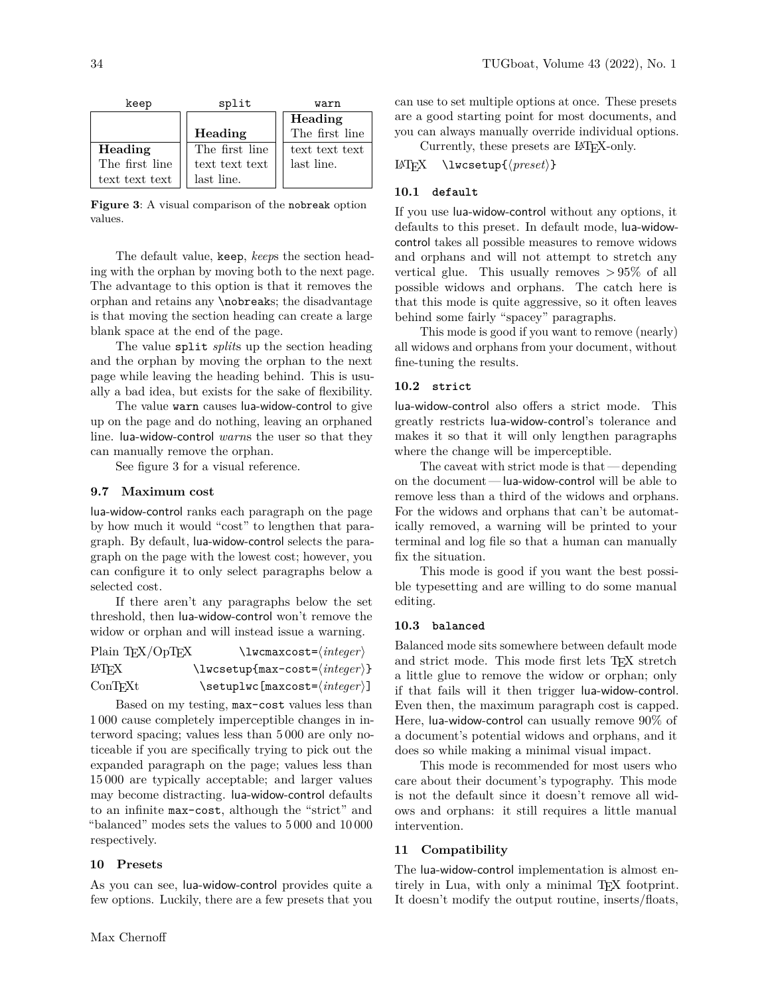| keep           | split          | warn           |  |
|----------------|----------------|----------------|--|
|                |                | Heading        |  |
|                | Heading        | The first line |  |
| Heading        | The first line | text text text |  |
| The first line | text text text | last line.     |  |
| text text text | last line.     |                |  |

<span id="page-6-0"></span>**Figure 3**: A visual comparison of the nobreak option values.

The default value, keep, *keep*s the section heading with the orphan by moving both to the next page. The advantage to this option is that it removes the orphan and retains any \nobreaks; the disadvantage is that moving the section heading can create a large blank space at the end of the page.

The value split *split*s up the section heading and the orphan by moving the orphan to the next page while leaving the heading behind. This is usually a bad idea, but exists for the sake of flexibility.

The value warn causes lua-widow-control to give up on the page and do nothing, leaving an orphaned line. lua-widow-control *warn*s the user so that they can manually remove the orphan.

See figure [3](#page-6-0) for a visual reference.

## **9.7 Maximum cost**

lua-widow-control ranks each paragraph on the page by how much it would "cost" to lengthen that paragraph. By default, lua-widow-control selects the paragraph on the page with the lowest cost; however, you can configure it to only select paragraphs below a selected cost.

If there aren't any paragraphs below the set threshold, then lua-widow-control won't remove the widow or orphan and will instead issue a warning.

| Plain TFX/OpTFX | $\text{Uwcm}$ axcost= $\langle \text{integer} \rangle$             |
|-----------------|--------------------------------------------------------------------|
| LATFX           | $\text{lwsetup}$ (max-cost= $\langle \text{integer} \rangle$ )     |
| ConTrXt         | $\setminus$ setuplwc[maxcost= $\langle \textit{integer} \rangle$ ] |

Based on my testing, max-cost values less than 1 000 cause completely imperceptible changes in interword spacing; values less than 5 000 are only noticeable if you are specifically trying to pick out the expanded paragraph on the page; values less than 15 000 are typically acceptable; and larger values may become distracting. lua-widow-control defaults to an infinite max-cost, although the "strict" and "balanced" modes sets the values to 5 000 and 10 000 respectively.

#### **10 Presets**

As you can see, lua-widow-control provides quite a few options. Luckily, there are a few presets that you

can use to set multiple options at once. These presets are a good starting point for most documents, and you can always manually override individual options.

Currently, these presets are LATEX-only.

 $LATFX \quad \text{lwesetup}\{\langle \text{preset} \rangle\}$ 

## **10.1 default**

If you use lua-widow-control without any options, it defaults to this preset. In default mode, lua-widowcontrol takes all possible measures to remove widows and orphans and will not attempt to stretch any vertical glue. This usually removes *>* 95% of all possible widows and orphans. The catch here is that this mode is quite aggressive, so it often leaves behind some fairly "spacey" paragraphs.

This mode is good if you want to remove (nearly) all widows and orphans from your document, without fine-tuning the results.

## **10.2 strict**

lua-widow-control also offers a strict mode. This greatly restricts lua-widow-control's tolerance and makes it so that it will only lengthen paragraphs where the change will be imperceptible.

The caveat with strict mode is that — depending on the document — lua-widow-control will be able to remove less than a third of the widows and orphans. For the widows and orphans that can't be automatically removed, a warning will be printed to your terminal and log file so that a human can manually fix the situation.

This mode is good if you want the best possible typesetting and are willing to do some manual editing.

#### **10.3 balanced**

Balanced mode sits somewhere between default mode and strict mode. This mode first lets TEX stretch a little glue to remove the widow or orphan; only if that fails will it then trigger lua-widow-control. Even then, the maximum paragraph cost is capped. Here, lua-widow-control can usually remove 90% of a document's potential widows and orphans, and it does so while making a minimal visual impact.

This mode is recommended for most users who care about their document's typography. This mode is not the default since it doesn't remove all widows and orphans: it still requires a little manual intervention.

#### **11 Compatibility**

The lua-widow-control implementation is almost entirely in Lua, with only a minimal TFX footprint. It doesn't modify the output routine, inserts/floats,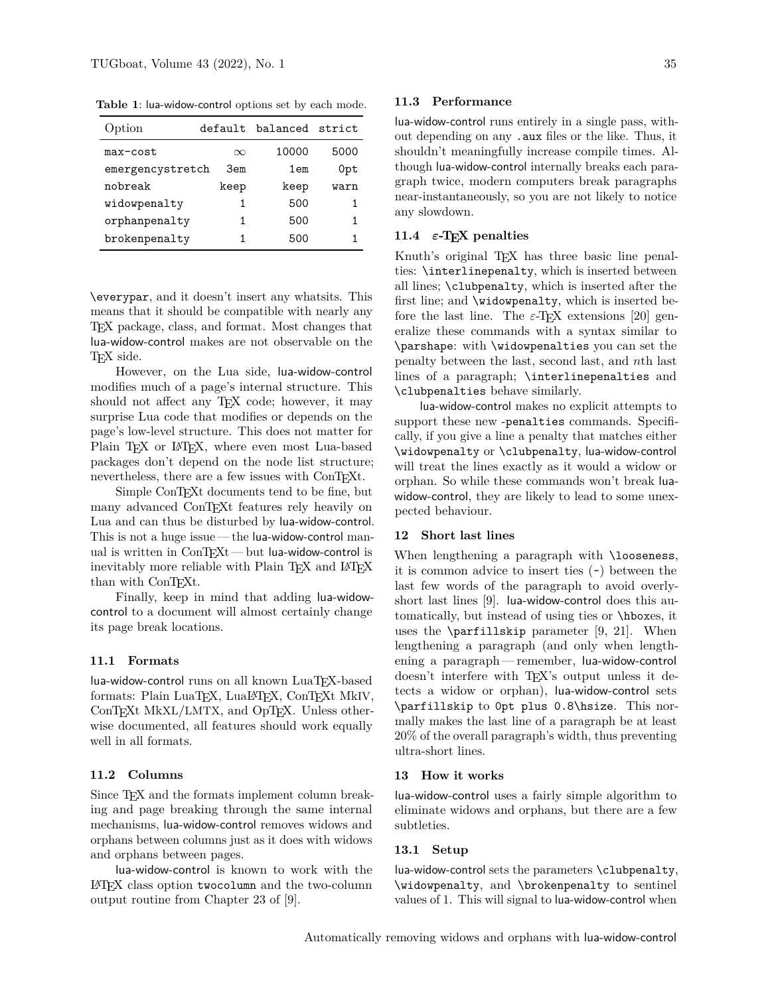**Table 1**: lua-widow-control options set by each mode.

| Option           |          | default balanced strict |      |
|------------------|----------|-------------------------|------|
| max-cost         | $\infty$ | 10000                   | 5000 |
| emergencystretch | 3em      | 1 <sub>em</sub>         | 0pt  |
| nobreak          | keep     | keep                    | warn |
| widowpenalty     | 1        | 500                     | 1    |
| orphanpenalty    | 1        | 500                     | 1    |
| brokenpenalty    | 1        | 500                     |      |

\everypar, and it doesn't insert any whatsits. This means that it should be compatible with nearly any TEX package, class, and format. Most changes that lua-widow-control makes are not observable on the TFX side.

However, on the Lua side, lua-widow-control modifies much of a page's internal structure. This should not affect any T<sub>E</sub>X code; however, it may surprise Lua code that modifies or depends on the page's low-level structure. This does not matter for Plain T<sub>F</sub>X or L<sup>4</sup>T<sub>F</sub>X, where even most Lua-based packages don't depend on the node list structure; nevertheless, there are a few issues with ConTEXt.

Simple ConTEXt documents tend to be fine, but many advanced ConT<sub>EX</sub><sup>t</sup> features rely heavily on Lua and can thus be disturbed by lua-widow-control. This is not a huge issue — the lua-widow-control manual is written in ConTEXt-but lua-widow-control is inevitably more reliable with Plain T<sub>E</sub>X and L<sup>AT</sup>EX than with ConT<sub>EXt</sub>.

Finally, keep in mind that adding lua-widowcontrol to a document will almost certainly change its page break locations.

## **11.1 Formats**

lua-widow-control runs on all known LuaTEX-based formats: Plain LuaTEX, LuaLATEX, ConTEXt MkIV, ConTEXt MkXL/LMTX, and OpTEX. Unless otherwise documented, all features should work equally well in all formats.

## **11.2 Columns**

Since T<sub>E</sub>X and the formats implement column breaking and page breaking through the same internal mechanisms, lua-widow-control removes widows and orphans between columns just as it does with widows and orphans between pages.

lua-widow-control is known to work with the LATEX class option twocolumn and the two-column output routine from Chapter 23 of [\[9\]](#page-11-6).

#### **11.3 Performance**

lua-widow-control runs entirely in a single pass, without depending on any .aux files or the like. Thus, it shouldn't meaningfully increase compile times. Although lua-widow-control internally breaks each paragraph twice, modern computers break paragraphs near-instantaneously, so you are not likely to notice any slowdown.

# **11.4** *ε***-TEX penalties**

Knuth's original T<sub>EX</sub> has three basic line penalties: \interlinepenalty, which is inserted between all lines; \clubpenalty, which is inserted after the first line; and \widowpenalty, which is inserted before the last line. The  $\varepsilon$ -T<sub>E</sub>X extensions [\[20\]](#page-11-17) generalize these commands with a syntax similar to \parshape: with \widowpenalties you can set the penalty between the last, second last, and *n*th last lines of a paragraph; \interlinepenalties and \clubpenalties behave similarly.

lua-widow-control makes no explicit attempts to support these new -penalties commands. Specifically, if you give a line a penalty that matches either \widowpenalty or \clubpenalty, lua-widow-control will treat the lines exactly as it would a widow or orphan. So while these commands won't break luawidow-control, they are likely to lead to some unexpected behaviour.

#### **12 Short last lines**

When lengthening a paragraph with \looseness, it is common advice to insert ties (~) between the last few words of the paragraph to avoid overlyshort last lines [\[9\]](#page-11-6). lua-widow-control does this automatically, but instead of using ties or \hboxes, it uses the  $\partial \phi$  parfillskip parameter [\[9,](#page-11-6) [21\]](#page-11-18). When lengthening a paragraph (and only when lengthening a paragraph— remember, lua-widow-control doesn't interfere with T<sub>EX</sub>'s output unless it detects a widow or orphan), lua-widow-control sets \parfillskip to 0pt plus 0.8\hsize. This normally makes the last line of a paragraph be at least 20% of the overall paragraph's width, thus preventing ultra-short lines.

#### **13 How it works**

lua-widow-control uses a fairly simple algorithm to eliminate widows and orphans, but there are a few subtleties.

## **13.1 Setup**

lua-widow-control sets the parameters \clubpenalty, \widowpenalty, and \brokenpenalty to sentinel values of 1. This will signal to lua-widow-control when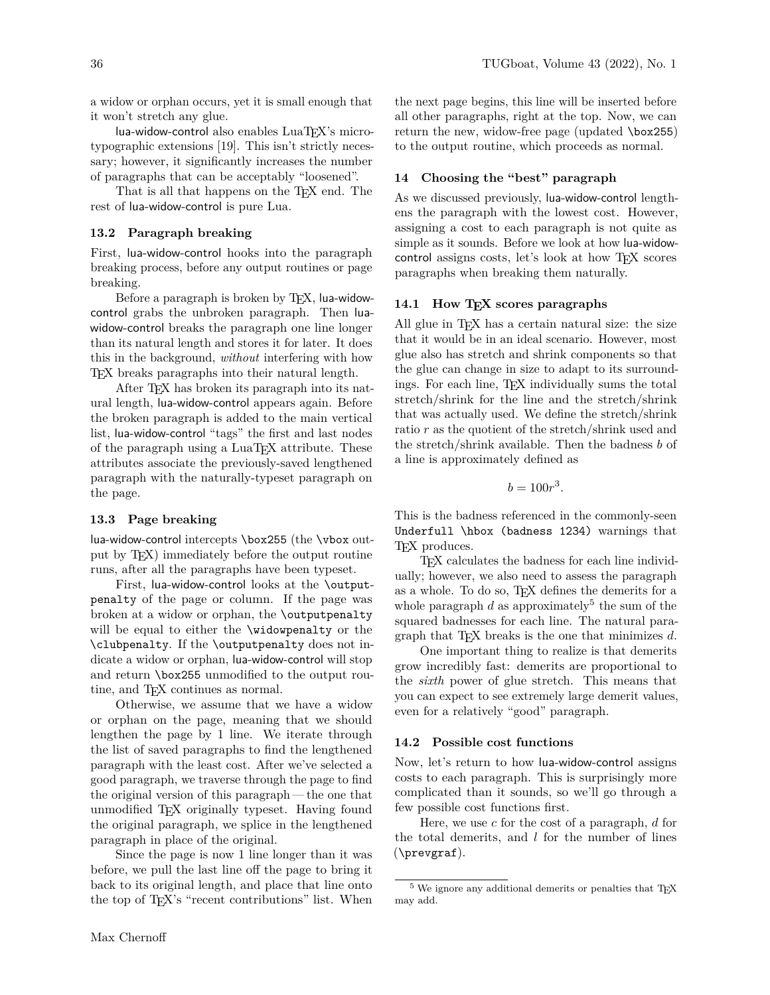a widow or orphan occurs, yet it is small enough that it won't stretch any glue.

lua-widow-control also enables LuaTEX's microtypographic extensions [\[19\]](#page-11-19). This isn't strictly necessary; however, it significantly increases the number of paragraphs that can be acceptably "loosened".

That is all that happens on the T<sub>EX</sub> end. The rest of lua-widow-control is pure Lua.

# **13.2 Paragraph breaking**

First, lua-widow-control hooks into the paragraph breaking process, before any output routines or page breaking.

Before a paragraph is broken by T<sub>F</sub>X, lua-widowcontrol grabs the unbroken paragraph. Then luawidow-control breaks the paragraph one line longer than its natural length and stores it for later. It does this in the background, *without* interfering with how TEX breaks paragraphs into their natural length.

After TEX has broken its paragraph into its natural length, lua-widow-control appears again. Before the broken paragraph is added to the main vertical list, lua-widow-control "tags" the first and last nodes of the paragraph using a LuaTEX attribute. These attributes associate the previously-saved lengthened paragraph with the naturally-typeset paragraph on the page.

# **13.3 Page breaking**

lua-widow-control intercepts \box255 (the \vbox output by TEX) immediately before the output routine runs, after all the paragraphs have been typeset.

First, lua-widow-control looks at the \outputpenalty of the page or column. If the page was broken at a widow or orphan, the \outputpenalty will be equal to either the *\widowpenalty* or the \clubpenalty. If the \outputpenalty does not indicate a widow or orphan, lua-widow-control will stop and return \box255 unmodified to the output routine, and TEX continues as normal.

Otherwise, we assume that we have a widow or orphan on the page, meaning that we should lengthen the page by 1 line. We iterate through the list of saved paragraphs to find the lengthened paragraph with the least cost. After we've selected a good paragraph, we traverse through the page to find the original version of this paragraph — the one that unmodified TEX originally typeset. Having found the original paragraph, we splice in the lengthened paragraph in place of the original.

Since the page is now 1 line longer than it was before, we pull the last line off the page to bring it back to its original length, and place that line onto the top of T<sub>E</sub>X's "recent contributions" list. When the next page begins, this line will be inserted before all other paragraphs, right at the top. Now, we can return the new, widow-free page (updated \box255) to the output routine, which proceeds as normal.

# **14 Choosing the "best" paragraph**

As we discussed previously, lua-widow-control lengthens the paragraph with the lowest cost. However, assigning a cost to each paragraph is not quite as simple as it sounds. Before we look at how lua-widowcontrol assigns costs, let's look at how TEX scores paragraphs when breaking them naturally.

# **14.1 How TEX scores paragraphs**

All glue in  $T_F X$  has a certain natural size: the size that it would be in an ideal scenario. However, most glue also has stretch and shrink components so that the glue can change in size to adapt to its surroundings. For each line, TEX individually sums the total stretch/shrink for the line and the stretch/shrink that was actually used. We define the stretch/shrink ratio *r* as the quotient of the stretch/shrink used and the stretch/shrink available. Then the badness *b* of a line is approximately defined as

$$
b=100r^3.
$$

This is the badness referenced in the commonly-seen Underfull \hbox (badness 1234) warnings that T<sub>F</sub>X produces.

TEX calculates the badness for each line individually; however, we also need to assess the paragraph as a whole. To do so, TEX defines the demerits for a whole paragraph  $d$  as approximately<sup>[5](#page-8-0)</sup> the sum of the squared badnesses for each line. The natural paragraph that TEX breaks is the one that minimizes *d*.

One important thing to realize is that demerits grow incredibly fast: demerits are proportional to the *sixth* power of glue stretch. This means that you can expect to see extremely large demerit values, even for a relatively "good" paragraph.

# **14.2 Possible cost functions**

Now, let's return to how lua-widow-control assigns costs to each paragraph. This is surprisingly more complicated than it sounds, so we'll go through a few possible cost functions first.

Here, we use *c* for the cost of a paragraph, *d* for the total demerits, and *l* for the number of lines (\prevgraf).

<span id="page-8-0"></span> $^5$  We ignore any additional demerits or penalties that TEX  $\,$ may add.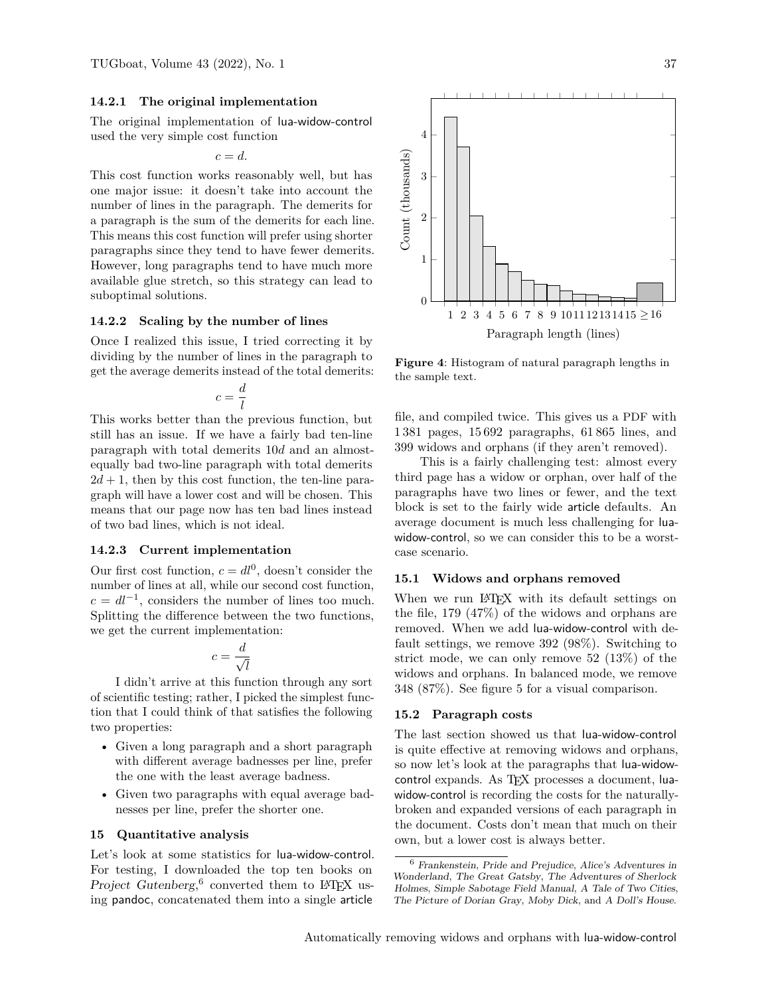### **14.2.1 The original implementation**

The original implementation of lua-widow-control used the very simple cost function

$$
c=d.
$$

This cost function works reasonably well, but has one major issue: it doesn't take into account the number of lines in the paragraph. The demerits for a paragraph is the sum of the demerits for each line. This means this cost function will prefer using shorter paragraphs since they tend to have fewer demerits. However, long paragraphs tend to have much more available glue stretch, so this strategy can lead to suboptimal solutions.

#### **14.2.2 Scaling by the number of lines**

Once I realized this issue, I tried correcting it by dividing by the number of lines in the paragraph to get the average demerits instead of the total demerits:

$$
c = \frac{d}{l}
$$

This works better than the previous function, but still has an issue. If we have a fairly bad ten-line paragraph with total demerits 10*d* and an almostequally bad two-line paragraph with total demerits  $2d + 1$ , then by this cost function, the ten-line paragraph will have a lower cost and will be chosen. This means that our page now has ten bad lines instead of two bad lines, which is not ideal.

#### **14.2.3 Current implementation**

Our first cost function,  $c = dl^0$ , doesn't consider the number of lines at all, while our second cost function,  $c = dl^{-1}$ , considers the number of lines too much. Splitting the difference between the two functions, we get the current implementation:

$$
c = \frac{d}{\sqrt{l}}
$$

I didn't arrive at this function through any sort of scientific testing; rather, I picked the simplest function that I could think of that satisfies the following two properties:

- Given a long paragraph and a short paragraph with different average badnesses per line, prefer the one with the least average badness.
- Given two paragraphs with equal average badnesses per line, prefer the shorter one.

## **15 Quantitative analysis**

Let's look at some statistics for lua-widow-control. For testing, I downloaded the top ten books on Project Gutenberg,<sup>[6](#page-9-0)</sup> converted them to L<sup>AT</sup>EX using pandoc, concatenated them into a single article



**Figure 4**: Histogram of natural paragraph lengths in the sample text.

file, and compiled twice. This gives us a PDF with 1 381 pages, 15 692 paragraphs, 61 865 lines, and 399 widows and orphans (if they aren't removed).

This is a fairly challenging test: almost every third page has a widow or orphan, over half of the paragraphs have two lines or fewer, and the text block is set to the fairly wide article defaults. An average document is much less challenging for luawidow-control, so we can consider this to be a worstcase scenario.

# **15.1 Widows and orphans removed**

When we run LAT<sub>EX</sub> with its default settings on the file, 179 (47%) of the widows and orphans are removed. When we add lua-widow-control with default settings, we remove 392 (98%). Switching to strict mode, we can only remove 52 (13%) of the widows and orphans. In balanced mode, we remove 348 (87%). See figure [5](#page-10-0) for a visual comparison.

#### **15.2 Paragraph costs**

The last section showed us that lua-widow-control is quite effective at removing widows and orphans, so now let's look at the paragraphs that lua-widowcontrol expands. As TEX processes a document, luawidow-control is recording the costs for the naturallybroken and expanded versions of each paragraph in the document. Costs don't mean that much on their own, but a lower cost is always better.

<span id="page-9-0"></span><sup>6</sup> Frankenstein, Pride and Prejudice, Alice's Adventures in Wonderland, The Great Gatsby, The Adventures of Sherlock Holmes, Simple Sabotage Field Manual, A Tale of Two Cities, The Picture of Dorian Gray, Moby Dick, and A Doll's House.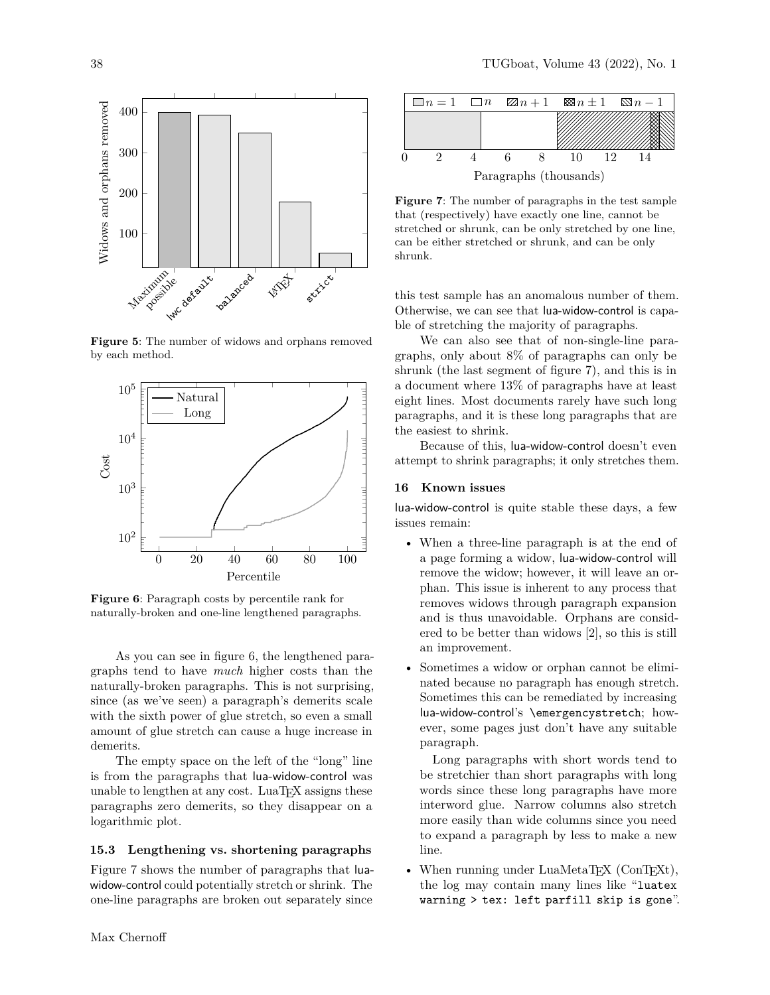

<span id="page-10-0"></span>**Figure 5**: The number of widows and orphans removed by each method.



<span id="page-10-1"></span>**Figure 6**: Paragraph costs by percentile rank for naturally-broken and one-line lengthened paragraphs.

As you can see in figure [6,](#page-10-1) the lengthened paragraphs tend to have *much* higher costs than the naturally-broken paragraphs. This is not surprising, since (as we've seen) a paragraph's demerits scale with the sixth power of glue stretch, so even a small amount of glue stretch can cause a huge increase in demerits.

The empty space on the left of the "long" line is from the paragraphs that lua-widow-control was unable to lengthen at any cost. LuaT<sub>EX</sub> assigns these paragraphs zero demerits, so they disappear on a logarithmic plot.

# **15.3 Lengthening vs. shortening paragraphs**

Figure [7](#page-10-2) shows the number of paragraphs that luawidow-control could potentially stretch or shrink. The one-line paragraphs are broken out separately since

<span id="page-10-2"></span>**Figure 7**: The number of paragraphs in the test sample that (respectively) have exactly one line, cannot be stretched or shrunk, can be only stretched by one line, can be either stretched or shrunk, and can be only shrunk.

this test sample has an anomalous number of them. Otherwise, we can see that lua-widow-control is capable of stretching the majority of paragraphs.

We can also see that of non-single-line paragraphs, only about 8% of paragraphs can only be shrunk (the last segment of figure [7\)](#page-10-2), and this is in a document where 13% of paragraphs have at least eight lines. Most documents rarely have such long paragraphs, and it is these long paragraphs that are the easiest to shrink.

Because of this, lua-widow-control doesn't even attempt to shrink paragraphs; it only stretches them.

### **16 Known issues**

lua-widow-control is quite stable these days, a few issues remain:

- When a three-line paragraph is at the end of a page forming a widow, lua-widow-control will remove the widow; however, it will leave an orphan. This issue is inherent to any process that removes widows through paragraph expansion and is thus unavoidable. Orphans are considered to be better than widows [\[2\]](#page-11-3), so this is still an improvement.
- Sometimes a widow or orphan cannot be eliminated because no paragraph has enough stretch. Sometimes this can be remediated by increasing lua-widow-control's \emergencystretch; however, some pages just don't have any suitable paragraph.

Long paragraphs with short words tend to be stretchier than short paragraphs with long words since these long paragraphs have more interword glue. Narrow columns also stretch more easily than wide columns since you need to expand a paragraph by less to make a new line.

• When running under LuaMetaTEX (ConTEXt), the log may contain many lines like "luatex warning > tex: left parfill skip is gone".